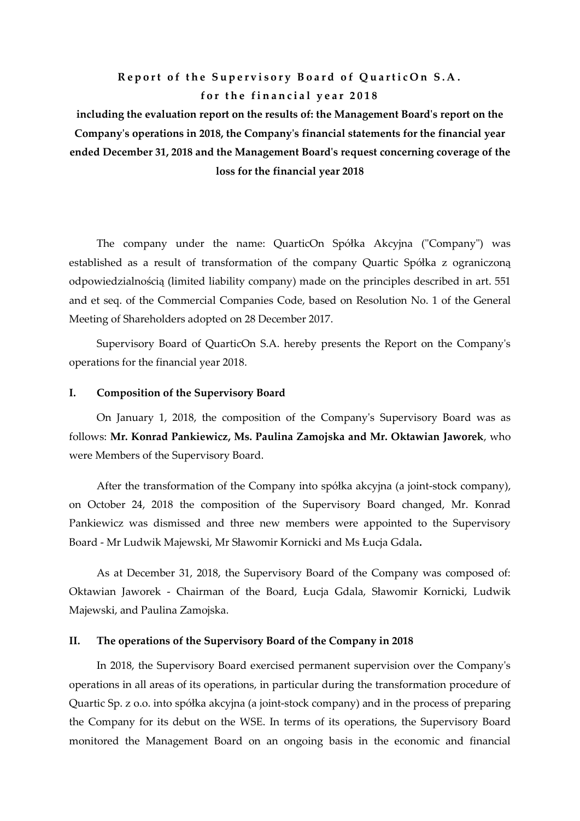## **Report of the Supervisory Board of QuarticOn S.A.** for the financial year 2018

**including the evaluation report on the results of: the Management Board's report on the Company's operations in 2018, the Company's financial statements for the financial year ended December 31, 2018 and the Management Board's request concerning coverage of the loss for the financial year 2018**

The company under the name: QuarticOn Spółka Akcyjna ("Company") was established as a result of transformation of the company Quartic Spółka z ograniczoną odpowiedzialnością (limited liability company) made on the principles described in art. 551 and et seq. of the Commercial Companies Code, based on Resolution No. 1 of the General Meeting of Shareholders adopted on 28 December 2017.

Supervisory Board of QuarticOn S.A. hereby presents the Report on the Company's operations for the financial year 2018.

#### **I. Composition of the Supervisory Board**

On January 1, 2018, the composition of the Company's Supervisory Board was as follows: **Mr. Konrad Pankiewicz, Ms. Paulina Zamojska and Mr. Oktawian Jaworek**, who were Members of the Supervisory Board.

After the transformation of the Company into spółka akcyjna (a joint-stock company), on October 24, 2018 the composition of the Supervisory Board changed, Mr. Konrad Pankiewicz was dismissed and three new members were appointed to the Supervisory Board - Mr Ludwik Majewski, Mr Sławomir Kornicki and Ms Łucja Gdala**.**

As at December 31, 2018, the Supervisory Board of the Company was composed of: Oktawian Jaworek - Chairman of the Board, Łucja Gdala, Sławomir Kornicki, Ludwik Majewski, and Paulina Zamojska.

#### **II. The operations of the Supervisory Board of the Company in 2018**

In 2018, the Supervisory Board exercised permanent supervision over the Company's operations in all areas of its operations, in particular during the transformation procedure of Quartic Sp. z o.o. into spółka akcyjna (a joint-stock company) and in the process of preparing the Company for its debut on the WSE. In terms of its operations, the Supervisory Board monitored the Management Board on an ongoing basis in the economic and financial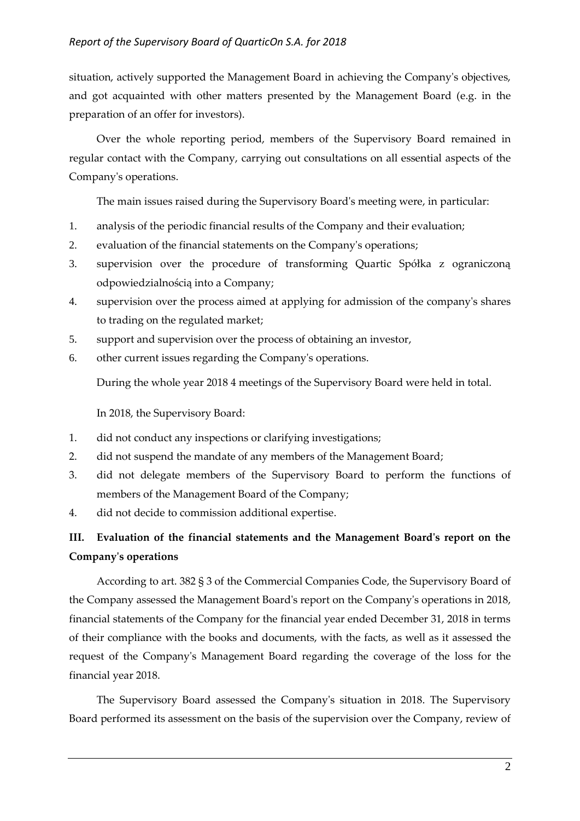situation, actively supported the Management Board in achieving the Company's objectives, and got acquainted with other matters presented by the Management Board (e.g. in the preparation of an offer for investors).

Over the whole reporting period, members of the Supervisory Board remained in regular contact with the Company, carrying out consultations on all essential aspects of the Company's operations.

The main issues raised during the Supervisory Board's meeting were, in particular:

- 1. analysis of the periodic financial results of the Company and their evaluation;
- 2. evaluation of the financial statements on the Company's operations;
- 3. supervision over the procedure of transforming Quartic Spółka z ograniczoną odpowiedzialnością into a Company;
- 4. supervision over the process aimed at applying for admission of the company's shares to trading on the regulated market;
- 5. support and supervision over the process of obtaining an investor,
- 6. other current issues regarding the Company's operations.

During the whole year 2018 4 meetings of the Supervisory Board were held in total.

In 2018, the Supervisory Board:

- 1. did not conduct any inspections or clarifying investigations;
- 2. did not suspend the mandate of any members of the Management Board;
- 3. did not delegate members of the Supervisory Board to perform the functions of members of the Management Board of the Company;
- 4. did not decide to commission additional expertise.

# **III. Evaluation of the financial statements and the Management Board's report on the Company's operations**

According to art. 382 § 3 of the Commercial Companies Code, the Supervisory Board of the Company assessed the Management Board's report on the Company's operations in 2018, financial statements of the Company for the financial year ended December 31, 2018 in terms of their compliance with the books and documents, with the facts, as well as it assessed the request of the Company's Management Board regarding the coverage of the loss for the financial year 2018.

The Supervisory Board assessed the Company's situation in 2018. The Supervisory Board performed its assessment on the basis of the supervision over the Company, review of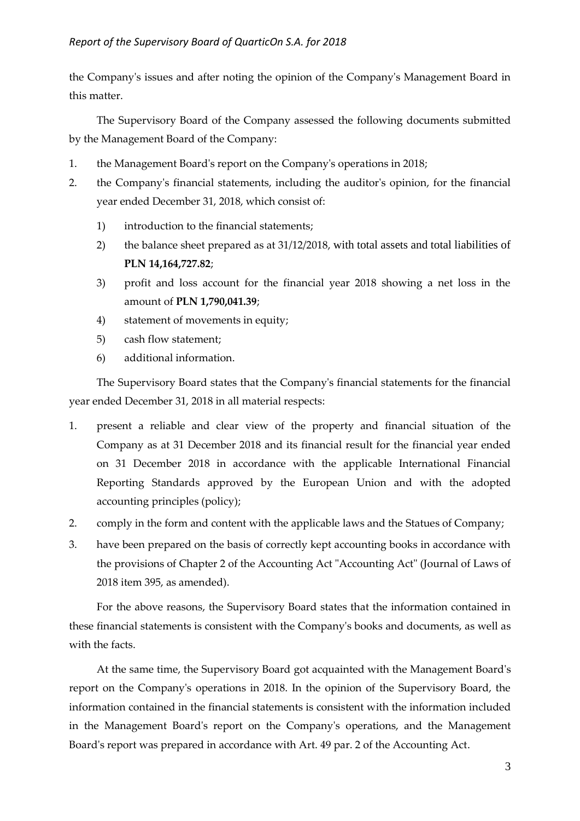the Company's issues and after noting the opinion of the Company's Management Board in this matter.

The Supervisory Board of the Company assessed the following documents submitted by the Management Board of the Company:

- 1. the Management Board's report on the Company's operations in 2018;
- 2. the Company's financial statements, including the auditor's opinion, for the financial year ended December 31, 2018, which consist of:
	- 1) introduction to the financial statements;
	- 2) the balance sheet prepared as at 31/12/2018, with total assets and total liabilities of **PLN 14,164,727.82**;
	- 3) profit and loss account for the financial year 2018 showing a net loss in the amount of **PLN 1,790,041.39**;
	- 4) statement of movements in equity;
	- 5) cash flow statement;
	- 6) additional information.

The Supervisory Board states that the Company's financial statements for the financial year ended December 31, 2018 in all material respects:

- 1. present a reliable and clear view of the property and financial situation of the Company as at 31 December 2018 and its financial result for the financial year ended on 31 December 2018 in accordance with the applicable International Financial Reporting Standards approved by the European Union and with the adopted accounting principles (policy);
- 2. comply in the form and content with the applicable laws and the Statues of Company;
- 3. have been prepared on the basis of correctly kept accounting books in accordance with the provisions of Chapter 2 of the Accounting Act "Accounting Act" (Journal of Laws of 2018 item 395, as amended).

For the above reasons, the Supervisory Board states that the information contained in these financial statements is consistent with the Company's books and documents, as well as with the facts.

At the same time, the Supervisory Board got acquainted with the Management Board's report on the Company's operations in 2018. In the opinion of the Supervisory Board, the information contained in the financial statements is consistent with the information included in the Management Board's report on the Company's operations, and the Management Board's report was prepared in accordance with Art. 49 par. 2 of the Accounting Act.